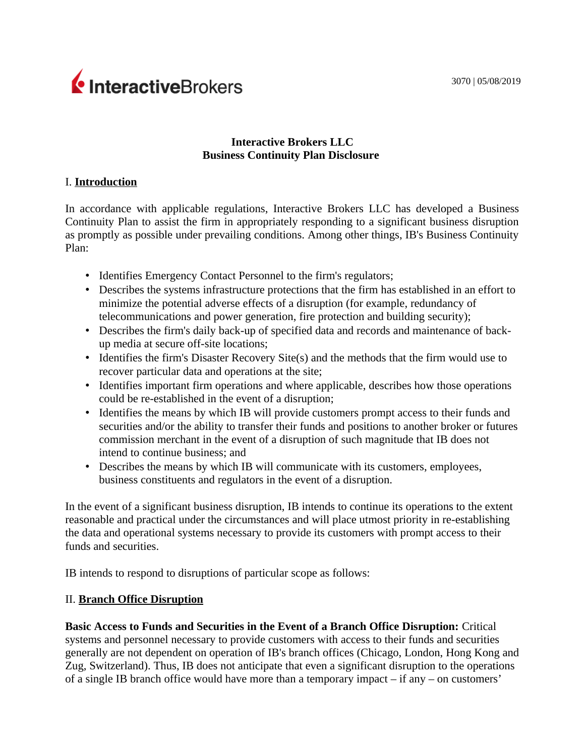3070 | 05/08/2019

# InteractiveBrokers

## **Interactive Brokers LLC Business Continuity Plan Disclosure**

## I. **Introduction**

In accordance with applicable regulations, Interactive Brokers LLC has developed a Business Continuity Plan to assist the firm in appropriately responding to a significant business disruption as promptly as possible under prevailing conditions. Among other things, IB's Business Continuity Plan:

- Identifies Emergency Contact Personnel to the firm's regulators;
- Describes the systems infrastructure protections that the firm has established in an effort to minimize the potential adverse effects of a disruption (for example, redundancy of telecommunications and power generation, fire protection and building security);
- Describes the firm's daily back-up of specified data and records and maintenance of backup media at secure off-site locations;
- Identifies the firm's Disaster Recovery Site(s) and the methods that the firm would use to recover particular data and operations at the site;
- Identifies important firm operations and where applicable, describes how those operations could be re-established in the event of a disruption;
- Identifies the means by which IB will provide customers prompt access to their funds and securities and/or the ability to transfer their funds and positions to another broker or futures commission merchant in the event of a disruption of such magnitude that IB does not intend to continue business; and
- Describes the means by which IB will communicate with its customers, employees, business constituents and regulators in the event of a disruption.

In the event of a significant business disruption, IB intends to continue its operations to the extent reasonable and practical under the circumstances and will place utmost priority in re-establishing the data and operational systems necessary to provide its customers with prompt access to their funds and securities.

IB intends to respond to disruptions of particular scope as follows:

## II. **Branch Office Disruption**

**Basic Access to Funds and Securities in the Event of a Branch Office Disruption:** Critical systems and personnel necessary to provide customers with access to their funds and securities generally are not dependent on operation of IB's branch offices (Chicago, London, Hong Kong and Zug, Switzerland). Thus, IB does not anticipate that even a significant disruption to the operations of a single IB branch office would have more than a temporary impact – if any – on customers'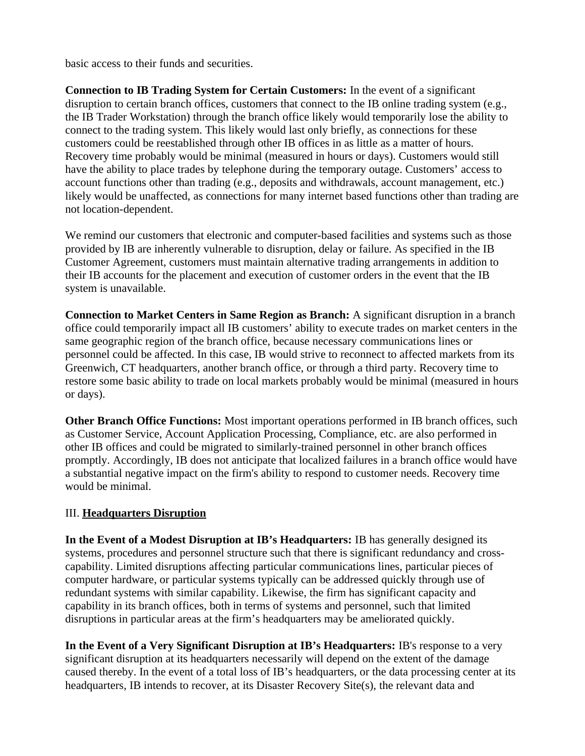basic access to their funds and securities.

**Connection to IB Trading System for Certain Customers:** In the event of a significant disruption to certain branch offices, customers that connect to the IB online trading system (e.g., the IB Trader Workstation) through the branch office likely would temporarily lose the ability to connect to the trading system. This likely would last only briefly, as connections for these customers could be reestablished through other IB offices in as little as a matter of hours. Recovery time probably would be minimal (measured in hours or days). Customers would still have the ability to place trades by telephone during the temporary outage. Customers' access to account functions other than trading (e.g., deposits and withdrawals, account management, etc.) likely would be unaffected, as connections for many internet based functions other than trading are not location-dependent.

We remind our customers that electronic and computer-based facilities and systems such as those provided by IB are inherently vulnerable to disruption, delay or failure. As specified in the IB Customer Agreement, customers must maintain alternative trading arrangements in addition to their IB accounts for the placement and execution of customer orders in the event that the IB system is unavailable.

**Connection to Market Centers in Same Region as Branch:** A significant disruption in a branch office could temporarily impact all IB customers' ability to execute trades on market centers in the same geographic region of the branch office, because necessary communications lines or personnel could be affected. In this case, IB would strive to reconnect to affected markets from its Greenwich, CT headquarters, another branch office, or through a third party. Recovery time to restore some basic ability to trade on local markets probably would be minimal (measured in hours or days).

**Other Branch Office Functions:** Most important operations performed in IB branch offices, such as Customer Service, Account Application Processing, Compliance, etc. are also performed in other IB offices and could be migrated to similarly-trained personnel in other branch offices promptly. Accordingly, IB does not anticipate that localized failures in a branch office would have a substantial negative impact on the firm's ability to respond to customer needs. Recovery time would be minimal.

## III. **Headquarters Disruption**

**In the Event of a Modest Disruption at IB's Headquarters:** IB has generally designed its systems, procedures and personnel structure such that there is significant redundancy and crosscapability. Limited disruptions affecting particular communications lines, particular pieces of computer hardware, or particular systems typically can be addressed quickly through use of redundant systems with similar capability. Likewise, the firm has significant capacity and capability in its branch offices, both in terms of systems and personnel, such that limited disruptions in particular areas at the firm's headquarters may be ameliorated quickly.

**In the Event of a Very Significant Disruption at IB's Headquarters:** IB's response to a very significant disruption at its headquarters necessarily will depend on the extent of the damage caused thereby. In the event of a total loss of IB's headquarters, or the data processing center at its headquarters, IB intends to recover, at its Disaster Recovery Site(s), the relevant data and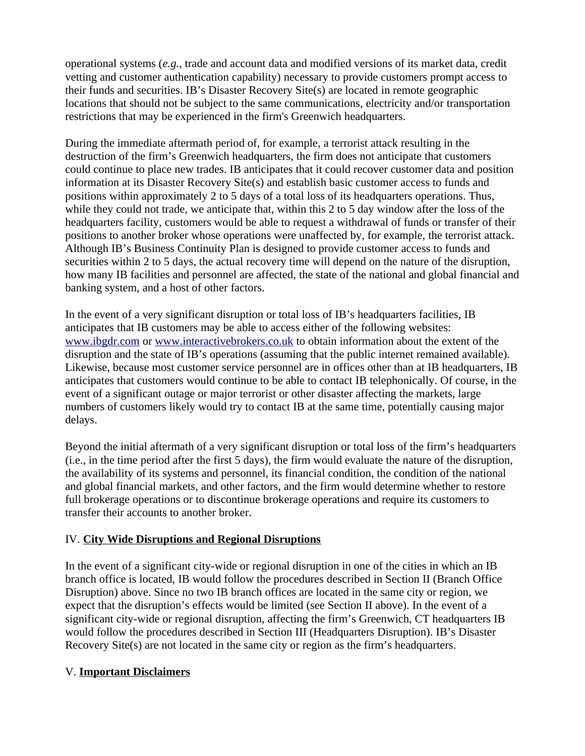operational systems (*e.g.*, trade and account data and modified versions of its market data, credit vetting and customer authentication capability) necessary to provide customers prompt access to their funds and securities. IB's Disaster Recovery Site(s) are located in remote geographic locations that should not be subject to the same communications, electricity and/or transportation restrictions that may be experienced in the firm's Greenwich headquarters.

During the immediate aftermath period of, for example, a terrorist attack resulting in the destruction of the firm's Greenwich headquarters, the firm does not anticipate that customers could continue to place new trades. IB anticipates that it could recover customer data and position information at its Disaster Recovery Site(s) and establish basic customer access to funds and positions within approximately 2 to 5 days of a total loss of its headquarters operations. Thus, while they could not trade, we anticipate that, within this 2 to 5 day window after the loss of the headquarters facility, customers would be able to request a withdrawal of funds or transfer of their positions to another broker whose operations were unaffected by, for example, the terrorist attack. Although IB's Business Continuity Plan is designed to provide customer access to funds and securities within 2 to 5 days, the actual recovery time will depend on the nature of the disruption, how many IB facilities and personnel are affected, the state of the national and global financial and banking system, and a host of other factors.

In the event of a very significant disruption or total loss of IB's headquarters facilities, IB anticipates that IB customers may be able to access either of the following websites: [www.ibgdr.com](http://www.ibgdr.com/) or [www.interactivebrokers.co.uk](http://www.interactivebrokers.co.uk/) to obtain information about the extent of the disruption and the state of IB's operations (assuming that the public internet remained available). Likewise, because most customer service personnel are in offices other than at IB headquarters, IB anticipates that customers would continue to be able to contact IB telephonically. Of course, in the event of a significant outage or major terrorist or other disaster affecting the markets, large numbers of customers likely would try to contact IB at the same time, potentially causing major delays.

Beyond the initial aftermath of a very significant disruption or total loss of the firm's headquarters (i.e., in the time period after the first 5 days), the firm would evaluate the nature of the disruption, the availability of its systems and personnel, its financial condition, the condition of the national and global financial markets, and other factors, and the firm would determine whether to restore full brokerage operations or to discontinue brokerage operations and require its customers to transfer their accounts to another broker.

## IV. **City Wide Disruptions and Regional Disruptions**

In the event of a significant city-wide or regional disruption in one of the cities in which an IB branch office is located, IB would follow the procedures described in Section II (Branch Office Disruption) above. Since no two IB branch offices are located in the same city or region, we expect that the disruption's effects would be limited (see Section II above). In the event of a significant city-wide or regional disruption, affecting the firm's Greenwich, CT headquarters IB would follow the procedures described in Section III (Headquarters Disruption). IB's Disaster Recovery Site(s) are not located in the same city or region as the firm's headquarters.

## V. **Important Disclaimers**